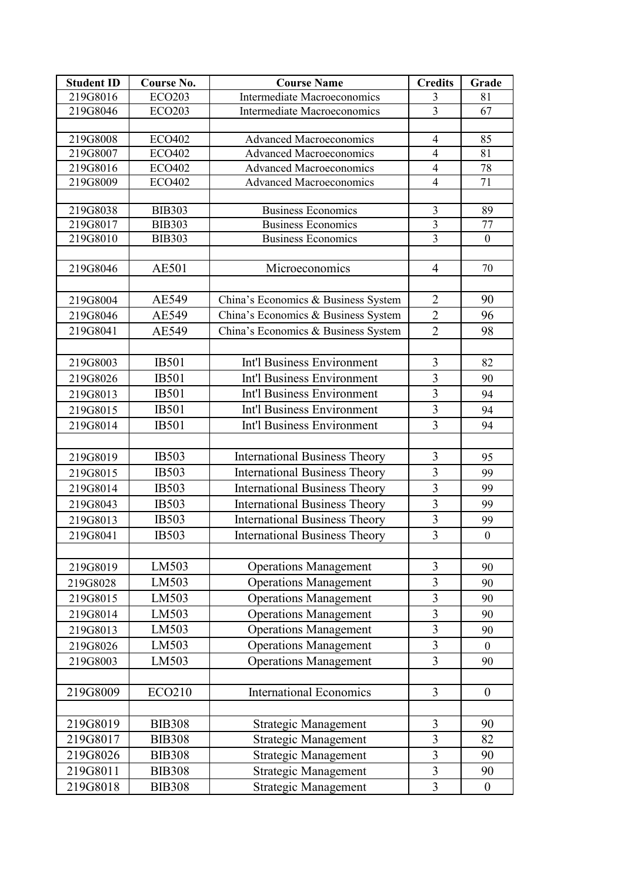| <b>Student ID</b> | Course No.    | <b>Course Name</b>                   | <b>Credits</b> | Grade            |
|-------------------|---------------|--------------------------------------|----------------|------------------|
| 219G8016          | <b>ECO203</b> | <b>Intermediate Macroeconomics</b>   | $\overline{3}$ | 81               |
| 219G8046          | <b>ECO203</b> | Intermediate Macroeconomics          | $\overline{3}$ | 67               |
|                   |               |                                      |                |                  |
| 219G8008          | <b>ECO402</b> | <b>Advanced Macroeconomics</b>       | $\overline{4}$ | 85               |
| 219G8007          | <b>ECO402</b> | <b>Advanced Macroeconomics</b>       | $\overline{4}$ | 81               |
| 219G8016          | <b>ECO402</b> | <b>Advanced Macroeconomics</b>       | $\overline{4}$ | 78               |
| 219G8009          | <b>ECO402</b> | <b>Advanced Macroeconomics</b>       | $\overline{4}$ | 71               |
| 219G8038          | <b>BIB303</b> | <b>Business Economics</b>            | $\overline{3}$ | 89               |
| 219G8017          | <b>BIB303</b> | <b>Business Economics</b>            | 3              | 77               |
| 219G8010          | <b>BIB303</b> | <b>Business Economics</b>            | $\overline{3}$ | $\mathbf{0}$     |
|                   |               |                                      |                |                  |
| 219G8046          | <b>AE501</b>  | Microeconomics                       | $\overline{4}$ | 70               |
|                   |               |                                      |                |                  |
| 219G8004          | AE549         | China's Economics & Business System  | $\overline{2}$ | 90               |
| 219G8046          | AE549         | China's Economics & Business System  | $\overline{2}$ | 96               |
| 219G8041          | AE549         | China's Economics & Business System  | $\overline{2}$ | 98               |
|                   |               |                                      |                |                  |
| 219G8003          | <b>IB501</b>  | Int'l Business Environment           | $\overline{3}$ | 82               |
| 219G8026          | <b>IB501</b>  | Int'l Business Environment           | $\overline{3}$ | 90               |
| 219G8013          | <b>IB501</b>  | Int'l Business Environment           | $\overline{3}$ | 94               |
| 219G8015          | <b>IB501</b>  | Int'l Business Environment           | $\overline{3}$ | 94               |
| 219G8014          | <b>IB501</b>  | Int'l Business Environment           | $\overline{3}$ | 94               |
|                   |               |                                      |                |                  |
| 219G8019          | <b>IB503</b>  | <b>International Business Theory</b> | $\overline{3}$ | 95               |
| 219G8015          | <b>IB503</b>  | <b>International Business Theory</b> | $\overline{3}$ | 99               |
| 219G8014          | <b>IB503</b>  | <b>International Business Theory</b> | $\overline{3}$ | 99               |
| 219G8043          | <b>IB503</b>  | <b>International Business Theory</b> | 3              | 99               |
| 219G8013          | <b>IB503</b>  | <b>International Business Theory</b> | 3              | 99               |
| 219G8041          | <b>IB503</b>  | <b>International Business Theory</b> | $\overline{3}$ | $\boldsymbol{0}$ |
|                   |               |                                      |                |                  |
| 219G8019          | LM503         | <b>Operations Management</b>         | 3              | 90               |
| 219G8028          | LM503         | <b>Operations Management</b>         | $\overline{3}$ | 90               |
| 219G8015          | LM503         | <b>Operations Management</b>         | 3              | 90               |
| 219G8014          | LM503         | <b>Operations Management</b>         | 3              | 90               |
| 219G8013          | LM503         | <b>Operations Management</b>         | 3              | 90               |
| 219G8026          | LM503         | <b>Operations Management</b>         | $\overline{3}$ | $\mathbf{0}$     |
| 219G8003          | LM503         | <b>Operations Management</b>         | $\overline{3}$ | 90               |
|                   |               |                                      |                |                  |
| 219G8009          | <b>ECO210</b> | <b>International Economics</b>       | $\overline{3}$ | $\overline{0}$   |
|                   |               |                                      |                |                  |
| 219G8019          | <b>BIB308</b> | <b>Strategic Management</b>          | $\overline{3}$ | 90               |
| 219G8017          | <b>BIB308</b> | <b>Strategic Management</b>          | $\overline{3}$ | 82               |
| 219G8026          | <b>BIB308</b> | Strategic Management                 | 3              | 90               |
| 219G8011          | <b>BIB308</b> | Strategic Management                 | 3              | 90               |
| 219G8018          | <b>BIB308</b> | <b>Strategic Management</b>          | $\overline{3}$ | $\boldsymbol{0}$ |
|                   |               |                                      |                |                  |